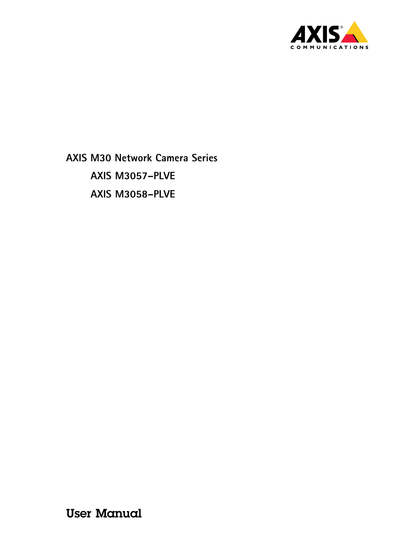

**AXIS M30 Network Camera Series AXIS M3057–PLVE AXIS M3058–PLVE**

User Manual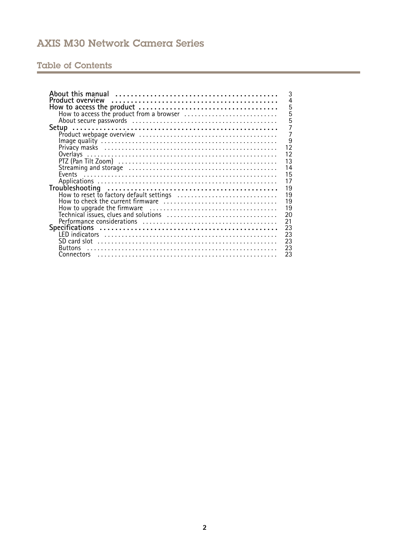## Table of Contents

| 3                                              |
|------------------------------------------------|
| $\overline{4}$                                 |
| 5                                              |
| $\overline{5}$                                 |
| 5                                              |
| $\overline{7}$                                 |
| 7                                              |
| 9                                              |
| $1\overline{2}$                                |
| 12                                             |
|                                                |
| 13                                             |
| 14                                             |
| 15                                             |
| 17                                             |
| 19                                             |
| 19<br>How to reset to factory default settings |
| 19                                             |
| 19                                             |
| 20                                             |
|                                                |
| 21                                             |
| 23                                             |
| 23                                             |
| 23                                             |
| 23<br><b>Buttons</b>                           |
| 23                                             |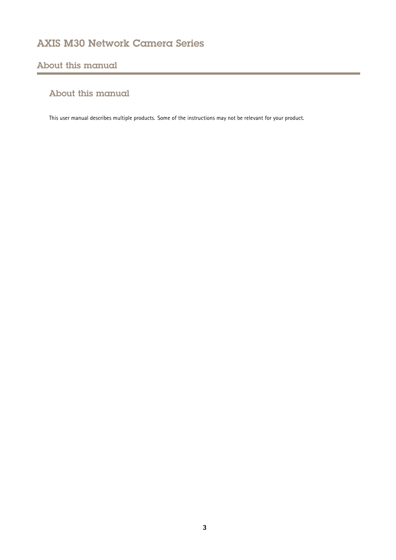## <span id="page-2-0"></span>About this manual

## About this manual

This user manual describes multiple products. Some of the instructions may not be relevant for your product.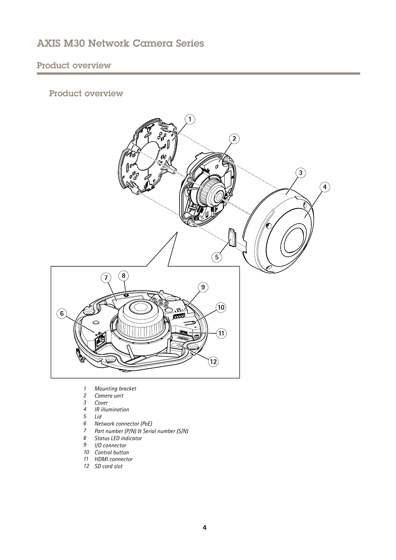## <span id="page-3-0"></span>Product overview

## Product overview



- *1 Mounting bracket*
- *2 Camera unit*
- *3 Cover*
- *4 IR illumination*
- *5 Lid*
- *6 Network connector (PoE)*
- *<sup>7</sup> Part number (P/N) & Serial number (S/N)*
- *8 Status LED indicator*
- *9 I/O connector*
- *10 Control button*
- *11 HDMI connector*
- *12 SD card slot*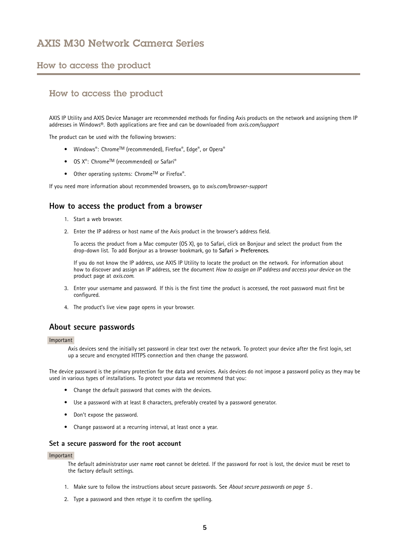### <span id="page-4-0"></span>How to access the product

## How to access the product

AXIS IP Utility and AXIS Device Manager are recommended methods for finding Axis products on the network and assigning them IP addresses in Windows®. Both applications are free and can be downloaded from *axis.com/support*

The product can be used with the following browsers:

- Windows®: Chrome™ (recommended), Firefox®, Edge®, or Opera®
- $OS X^{\circ}$ : Chrome<sup>IM</sup> (recommended) or Safari $^{\circ}$
- Other operating systems: Chrome<sup>IM</sup> or Firefox<sup>®</sup>.

If you need more information about recommended browsers, go to *axis.com/browser-support*

### **How to access the product from <sup>a</sup> browser**

- 1. Start <sup>a</sup> web browser.
- 2. Enter the IP address or host name of the Axis product in the browser's address field.

To access the product from <sup>a</sup> Mac computer (OS X), go to Safari, click on Bonjour and select the product from the drop-down list. To add Bonjour as <sup>a</sup> browser bookmark, go to **Safari <sup>&</sup>gt; Preferences**.

If you do not know the IP address, use AXIS IP Utility to locate the product on the network. For information about how to discover and assign an IP address, see the document *How to assign an IP address and access your device* on the product page at *axis.com*.

- 3. Enter your username and password. If this is the first time the product is accessed, the root password must first be configured.
- 4. The product's live view page opens in your browser.

#### **About secure passwords**

#### Important

Axis devices send the initially set password in clear text over the network. To protect your device after the first login, set up <sup>a</sup> secure and encrypted HTTPS connection and then change the password.

The device password is the primary protection for the data and services. Axis devices do not impose <sup>a</sup> password policy as they may be used in various types of installations. To protect your data we recommend that you:

- Change the default password that comes with the devices.
- Use <sup>a</sup> password with at least 8 characters, preferably created by <sup>a</sup> password generator.
- Don't expose the password.
- Change password at <sup>a</sup> recurring interval, at least once <sup>a</sup> year.

#### **Set <sup>a</sup> secure password for the root account**

#### Important

The default administrator user name **root** cannot be deleted. If the password for root is lost, the device must be reset to the factory default settings.

- 1. Make sure to follow the instructions about secure passwords. See *About secure passwords on page 5* .
- 2. Type <sup>a</sup> password and then retype it to confirm the spelling.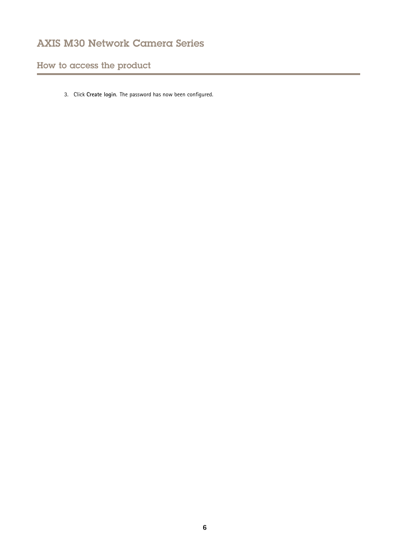How to access the product

3. Click **Create login**. The password has now been configured.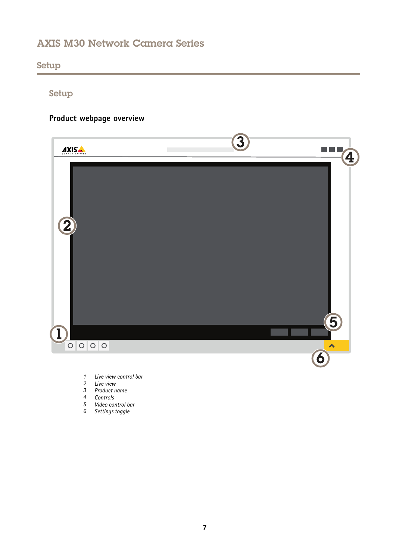<span id="page-6-0"></span>Setup

## Setup

## **Product webpage overview**



- *1 Live view control bar*
- *2 Live view*
- *3 Product name*
- *4 Controls*
- *5 Video control bar*
- *6 Settings toggle*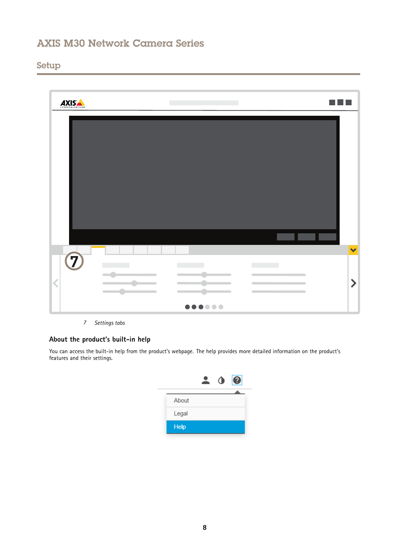## Setup



*7 Settings tabs*

### **About the product's built-in help**

You can access the built-in help from the product's webpage. The help provides more detailed information on the product's features and their settings.

|             | O | $\boldsymbol{Q}$ |
|-------------|---|------------------|
|             |   |                  |
| About       |   |                  |
| Legal       |   |                  |
| <b>Help</b> |   |                  |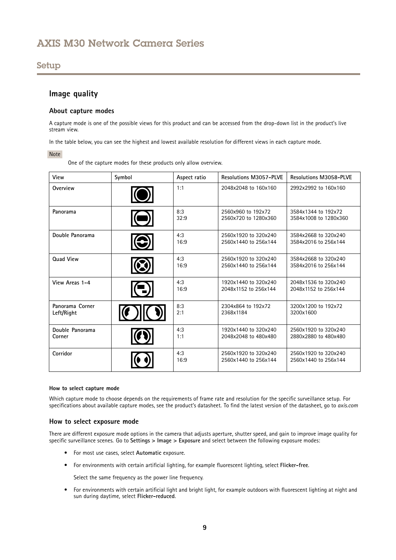## <span id="page-8-0"></span>Setup

### **Image quality**

#### **About capture modes**

A capture mode is one of the possible views for this product and can be accessed from the drop-down list in the product's live stream view.

In the table below, you can see the highest and lowest available resolution for different views in each capture mode.

#### Note

One of the capture modes for these products only allow overview.

| View                          | Symbol           | Aspect ratio | <b>Resolutions M3057-PLVE</b>                | <b>Resolutions M3058-PLVE</b>                |
|-------------------------------|------------------|--------------|----------------------------------------------|----------------------------------------------|
| Overview                      |                  | 1:1          | 2048x2048 to 160x160                         | 2992x2992 to 160x160                         |
| Panorama                      |                  | 8:3<br>32:9  | 2560x960 to 192x72<br>2560x720 to 1280x360   | 3584x1344 to 192x72<br>3584x1008 to 1280x360 |
| Double Panorama               | $\odot$          | 4:3<br>16:9  | 2560x1920 to 320x240<br>2560x1440 to 256x144 | 3584x2668 to 320x240<br>3584x2016 to 256x144 |
| <b>Quad View</b>              |                  | 4:3<br>16:9  | 2560x1920 to 320x240<br>2560x1440 to 256x144 | 3584x2668 to 320x240<br>3584x2016 to 256x144 |
| View Areas 1-4                | $(\blacksquare)$ | 4:3<br>16:9  | 1920x1440 to 320x240<br>2048x1152 to 256x144 | 2048x1536 to 320x240<br>2048x1152 to 256x144 |
| Panorama Corner<br>Left/Right |                  | 8:3<br>2:1   | 2304x864 to 192x72<br>2368x1184              | 3200x1200 to 192x72<br>3200x1600             |
| Double Panorama<br>Corner     |                  | 4:3<br>1:1   | 1920x1440 to 320x240<br>2048x2048 to 480x480 | 2560x1920 to 320x240<br>2880x2880 to 480x480 |
| Corridor                      |                  | 4:3<br>16:9  | 2560x1920 to 320x240<br>2560x1440 to 256x144 | 2560x1920 to 320x240<br>2560x1440 to 256x144 |

#### **How to select capture mode**

Which capture mode to choose depends on the requirements of frame rate and resolution for the specific surveillance setup. For specifications about available capture modes, see the product's datasheet. To find the latest version of the datasheet, go to *axis.com*

#### **How to select exposure mode**

There are different exposure mode options in the camera that adjusts aperture, shutter speed, and gain to improve image quality for specific surveillance scenes. Go to **Settings <sup>&</sup>gt; Image <sup>&</sup>gt; Exposure** and select between the following exposure modes:

- For most use cases, select **Automatic** exposure.
- For environments with certain artificial lighting, for example fluorescent lighting, select **Flicker-free**.

Select the same frequency as the power line frequency.

• For environments with certain artificial light and bright light, for example outdoors with fluorescent lighting at night and sun during daytime, select **Flicker-reduced**.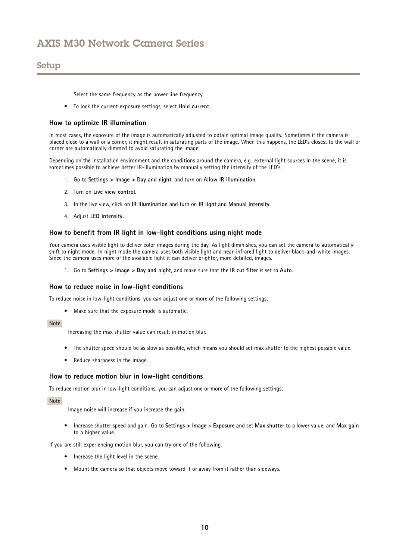## Setup

Select the same frequency as the power line frequency.

• To lock the current exposure settings, select **Hold current**.

#### **How to optimize IR illumination**

In most cases, the exposure of the image is automatically adjusted to obtain optimal image quality. Sometimes if the camera is placed close to <sup>a</sup> wall or <sup>a</sup> corner, it might result in saturating parts of the image. When this happens, the LED's closest to the wall or corner are automatically dimmed to avoid saturating the image.

Depending on the installation environment and the conditions around the camera, e.g. external light sources in the scene, it is sometimes possible to achieve better IR-illumination by manually setting the intensity of the LED's.

- 1. Go to **Settings <sup>&</sup>gt; Image <sup>&</sup>gt; Day and night**, and turn on **Allow IR illumination**.
- 2. Turn on **Live view control**.
- 3. In the live view, click on **IR illumination** and turn on **IR light** and **Manual intensity**.
- 4. Adjust **LED intensity**.

#### **How to benefit from IR light in low-light conditions using night mode**

Your camera uses visible light to deliver color images during the day. As light diminishes, you can set the camera to automatically shift to night mode. In night mode the camera uses both visible light and near-infrared light to deliver black-and-white images. Since the camera uses more of the available light it can deliver brighter, more detailed, images.

1. Go to **Settings <sup>&</sup>gt; Image <sup>&</sup>gt; Day and night**, and make sure that the **IR cut filter** is set to **Auto**.

#### **How to reduce noise in low-light conditions**

To reduce noise in low-light conditions, you can adjust one or more of the following settings:

• Make sure that the exposure mode is automatic.

#### Note

Increasing the max shutter value can result in motion blur.

- The shutter speed should be as slow as possible, which means you should set max shutter to the highest possible value.
- Reduce sharpness in the image.

#### **How to reduce motion blur in low-light conditions**

To reduce motion blur in low-light conditions, you can adjust one or more of the following settings:

#### Note

Image noise will increase if you increase the gain.

• Increase shutter speed and gain. Go to **Settings <sup>&</sup>gt; Image** <sup>&</sup>gt; **Exposure** and set **Max shutter** to <sup>a</sup> lower value, and **Max gain** to <sup>a</sup> higher value.

If you are still experiencing motion blur, you can try one of the following:

- Increase the light level in the scene.
- Mount the camera so that objects move toward it or away from it rather than sideways.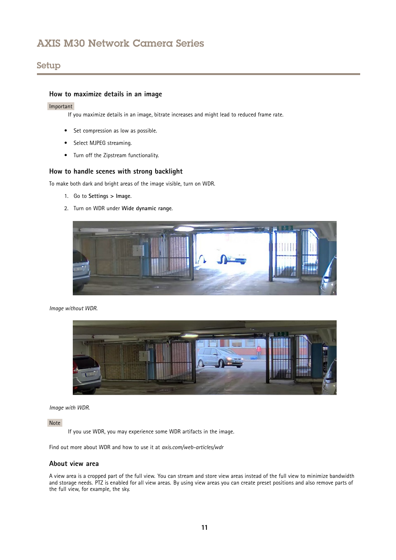## Setup

### **How to maximize details in an image**

#### Important

If you maximize details in an image, bitrate increases and might lead to reduced frame rate.

- Set compression as low as possible.
- •Select MJPEG streaming.
- Turn off the Zipstream functionality.

### **How to handle scenes with strong backlight**

To make both dark and bright areas of the image visible, turn on WDR.

- 1. Go to **Settings <sup>&</sup>gt; Image**.
- 2. Turn on WDR under **Wide dynamic range**.



*Image without WDR.*



*Image with WDR.*

Note

If you use WDR, you may experience some WDR artifacts in the image.

Find out more about WDR and how to use it at *axis.com/web-articles/wdr*

#### **About view area**

A view area is <sup>a</sup> cropped part of the full view. You can stream and store view areas instead of the full view to minimize bandwidth and storage needs. PTZ is enabled for all view areas. By using view areas you can create preset positions and also remove parts of the full view, for example, the sky.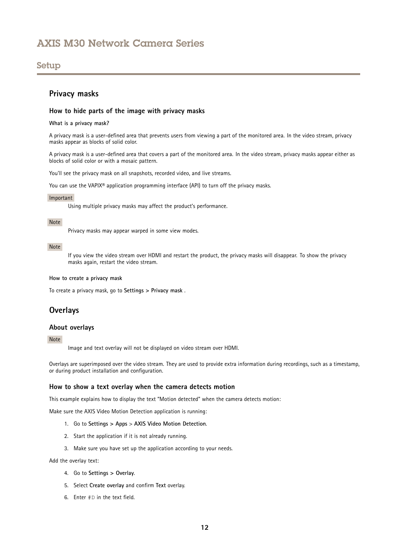### <span id="page-11-0"></span>Setup

### **Privacy masks**

#### **How to hide parts of the image with privacy masks**

#### **What is <sup>a</sup> privacy mask?**

A privacy mask is <sup>a</sup> user-defined area that prevents users from viewing <sup>a</sup> part of the monitored area. In the video stream, privacy masks appear as blocks of solid color.

A privacy mask is <sup>a</sup> user-defined area that covers <sup>a</sup> part of the monitored area. In the video stream, privacy masks appear either as blocks of solid color or with <sup>a</sup> mosaic pattern.

You'll see the privacy mask on all snapshots, recorded video, and live streams.

You can use the VAPIX® application programming interface (API) to turn off the privacy masks.

#### Important

Using multiple privacy masks may affect the product's performance.

#### Note

Privacy masks may appear warped in some view modes.

#### Note

If you view the video stream over HDMI and restart the product, the privacy masks will disappear. To show the privacy masks again, restart the video stream.

#### **How to create <sup>a</sup> privacy mask**

To create <sup>a</sup> privacy mask, go to **Settings <sup>&</sup>gt; Privacy mask** .

### **Overlays**

#### **About overlays**

#### Note

Image and text overlay will not be displayed on video stream over HDMI.

Overlays are superimposed over the video stream. They are used to provide extra information during recordings, such as <sup>a</sup> timestamp, or during product installation and configuration.

#### **How to show <sup>a</sup> text overlay when the camera detects motion**

This example explains how to display the text "Motion detected" when the camera detects motion:

Make sure the AXIS Video Motion Detection application is running:

- 1. Go to **Settings <sup>&</sup>gt; Apps** <sup>&</sup>gt; **AXIS Video Motion Detection**.
- 2. Start the application if it is not already running.
- 3. Make sure you have set up the application according to your needs.

#### Add the overlay text:

- 4. Go to **Settings <sup>&</sup>gt; Overlay**.
- 5. Select **Create overlay** and confirm **Text** overlay.
- 6. Enter #D in the text field.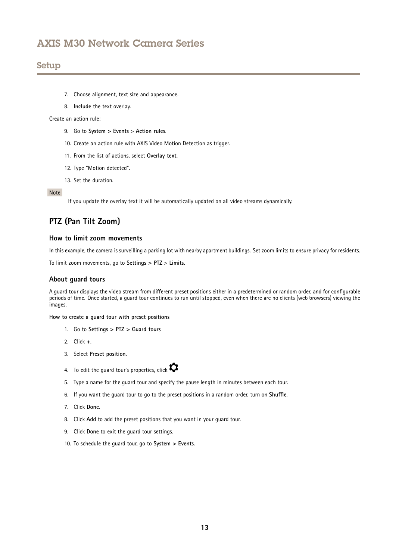### <span id="page-12-0"></span>Setup

- 7. Choose alignment, text size and appearance.
- 8. **Include** the text overlay.

Create an action rule:

- 9. Go to **System <sup>&</sup>gt; Events** <sup>&</sup>gt; **Action rules**.
- 10. Create an action rule with AXIS Video Motion Detection as trigger.
- 11. From the list of actions, select **Overlay text**.
- 12. Type "Motion detected".
- 13. Set the duration.

#### Note

If you update the overlay text it will be automatically updated on all video streams dynamically.

## **PTZ (Pan Tilt Zoom)**

#### **How to limit zoom movements**

In this example, the camera is surveilling <sup>a</sup> parking lot with nearby apartment buildings. Set zoom limits to ensure privacy for residents.

To limit zoom movements, go to **Settings <sup>&</sup>gt; PTZ** <sup>&</sup>gt; **Limits**.

#### **About guard tours**

A guard tour displays the video stream from different preset positions either in <sup>a</sup> predetermined or random order, and for configurable periods of time. Once started, <sup>a</sup> guard tour continues to run until stopped, even when there are no clients (web browsers) viewing the images.

**How to create <sup>a</sup> guard tour with preset positions**

- 1. Go to **Settings <sup>&</sup>gt; PTZ <sup>&</sup>gt; Guard tours**
- 2. Click **<sup>+</sup>**.
- 3. Select **Preset position**.
- 4. To edit the guard tour's properties, click  $\bullet$
- 5. Type <sup>a</sup> name for the guard tour and specify the pause length in minutes between each tour.
- 6. If you want the guard tour to go to the preset positions in <sup>a</sup> random order, turn on **Shuffle**.
- 7. Click **Done**.
- 8. Click **Add** to add the preset positions that you want in your guard tour.
- 9. Click **Done** to exit the guard tour settings.
- 10. To schedule the guard tour, go to **System <sup>&</sup>gt; Events**.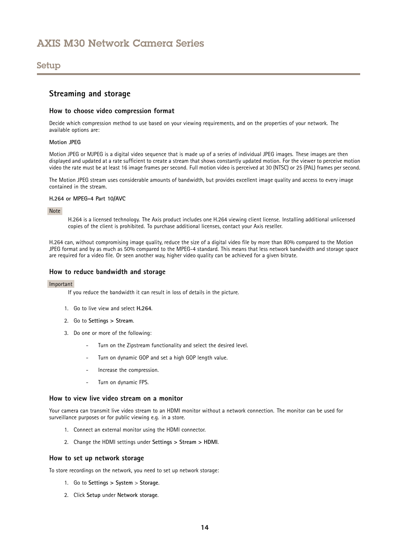### <span id="page-13-0"></span>Setup

### **Streaming and storage**

#### **How to choose video compression format**

Decide which compression method to use based on your viewing requirements, and on the properties of your network. The available options are:

#### **Motion JPEG**

Motion JPEG or MJPEG is <sup>a</sup> digital video sequence that is made up of <sup>a</sup> series of individual JPEG images. These images are then displayed and updated at <sup>a</sup> rate sufficient to create <sup>a</sup> stream that shows constantly updated motion. For the viewer to perceive motion video the rate must be at least <sup>16</sup> image frames per second. Full motion video is perceived at <sup>30</sup> (NTSC) or <sup>25</sup> (PAL) frames per second.

The Motion JPEG stream uses considerable amounts of bandwidth, but provides excellent image quality and access to every image contained in the stream.

#### **H.264 or MPEG-4 Part 10/AVC**

Note

H.264 is <sup>a</sup> licensed technology. The Axis product includes one H.264 viewing client license. Installing additional unlicensed copies of the client is prohibited. To purchase additional licenses, contact your Axis reseller.

H.264 can, without compromising image quality, reduce the size of <sup>a</sup> digital video file by more than 80% compared to the Motion JPEG format and by as much as 50% compared to the MPEG-4 standard. This means that less network bandwidth and storage space are required for <sup>a</sup> video file. Or seen another way, higher video quality can be achieved for <sup>a</sup> given bitrate.

#### **How to reduce bandwidth and storage**

#### Important

If you reduce the bandwidth it can result in loss of details in the picture.

- 1. Go to live view and select **H.264**.
- 2. Go to **Settings <sup>&</sup>gt; Stream**.
- 3. Do one or more of the following:
	- Turn on the Zipstream functionality and select the desired level.
	- Turn on dynamic GOP and set <sup>a</sup> high GOP length value.
	- Increase the compression.
	- Turn on dynamic FPS.

#### **How to view live video stream on a monitor**

Your camera can transmit live video stream to an HDMI monitor without a network connection. The monitor can be used for surveillance purposes or for public viewing e.g. in <sup>a</sup> store.

- 1. Connect an external monitor using the HDMI connector.
- 2. Change the HDMI settings under **Settings <sup>&</sup>gt; Stream <sup>&</sup>gt; HDMI**.

#### **How to set up network storage**

To store recordings on the network, you need to set up network storage:

- 1. Go to **Settings <sup>&</sup>gt; System** <sup>&</sup>gt; **Storage**.
- 2. Click **Setup** under **Network storage**.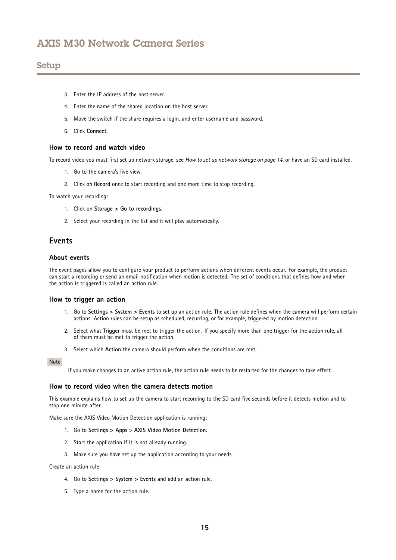### <span id="page-14-0"></span>Setup

- 3. Enter the IP address of the host server.
- 4. Enter the name of the shared location on the host server.
- 5. Move the switch if the share requires <sup>a</sup> login, and enter username and password.
- 6. Click **Connect**.

#### **How to record and watch video**

To record video you must first set up network storage, see *How to set up network [storage](#page-13-0) on page [14](#page-13-0)*, or have an SD card installed.

- 1. Go to the camera's live view.
- 2. Click on **Record** once to start recording and one more time to stop recording.

To watch your recording:

- 1. Click on **Storage <sup>&</sup>gt; Go to recordings**.
- 2. Select your recording in the list and it will play automatically.

### **Events**

#### **About events**

The event pages allow you to configure your product to perform actions when different events occur. For example, the product can start <sup>a</sup> recording or send an email notification when motion is detected. The set of conditions that defines how and when the action is triggered is called an action rule.

#### **How to trigger an action**

- 1. Go to **Settings <sup>&</sup>gt; System <sup>&</sup>gt; Events** to set up an action rule. The action rule defines when the camera will perform certain actions. Action rules can be setup as scheduled, recurring, or for example, triggered by motion detection.
- 2. Select what **Trigger** must be met to trigger the action. If you specify more than one trigger for the action rule, all of them must be met to trigger the action.
- 3. Select which **Action** the camera should perform when the conditions are met.

#### Note

If you make changes to an active action rule, the action rule needs to be restarted for the changes to take effect.

#### **How to record video when the camera detects motion**

This example explains how to set up the camera to start recording to the SD card five seconds before it detects motion and to stop one minute after.

Make sure the AXIS Video Motion Detection application is running:

- 1. Go to **Settings <sup>&</sup>gt; Apps** <sup>&</sup>gt; **AXIS Video Motion Detection**.
- 2. Start the application if it is not already running.
- 3. Make sure you have set up the application according to your needs.

Create an action rule:

- 4. Go to **Settings <sup>&</sup>gt; System <sup>&</sup>gt; Events** and add an action rule.
- 5. Type <sup>a</sup> name for the action rule.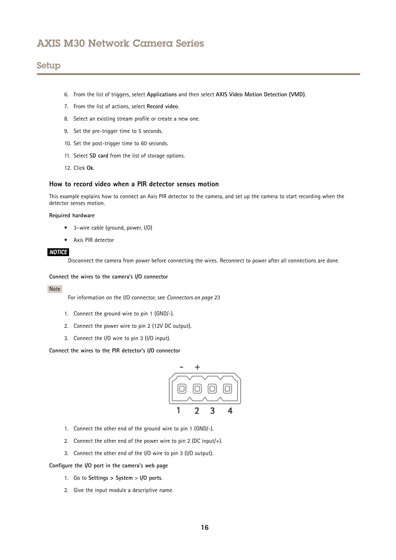## Setup

- 6. From the list of triggers, select **Applications** and then select **AXIS Video Motion Detection (VMD)**.
- 7. From the list of actions, select **Record video**.
- 8. Select an existing stream profile or create <sup>a</sup> new one.
- 9. Set the pre-trigger time to 5 seconds.
- 10. Set the post-trigger time to 60 seconds.
- 11. Select **SD card** from the list of storage options.
- 12. Click **Ok**.

#### **How to record video when a PIR detector senses motion**

This example explains how to connect an Axis PIR detector to the camera, and set up the camera to start recording when the detector senses motion.

#### **Required hardware**

- 3–wire cable (ground, power, I/O)
- Axis PIR detector

#### *NOTICE*

Disconnect the camera from power before connecting the wires. Reconnect to power after all connections are done.

#### **Connect the wires to the camera's I/O connector**

#### Note

For information on the I/O connector, see *[Connectors](#page-22-0) on page [23](#page-22-0)*

- 1. Connect the ground wire to pin <sup>1</sup> (GND/-).
- 2. Connect the power wire to pin <sup>2</sup> (12V DC output).
- 3. Connect the I/O wire to pin <sup>3</sup> (I/O input).

**Connect the wires to the PIR detector's I/O connector**



- 1. Connect the other end of the ground wire to pin <sup>1</sup> (GND/-).
- 2. Connect the other end of the power wire to pin <sup>2</sup> (DC input/+).
- 3. Connect the other end of the I/O wire to pin <sup>3</sup> (I/O output).

**Configure the I/O port in the camera's web page**

- 1. Go to **Settings <sup>&</sup>gt; System** <sup>&</sup>gt; **I/O ports**.
- 2. Give the input module <sup>a</sup> descriptive name.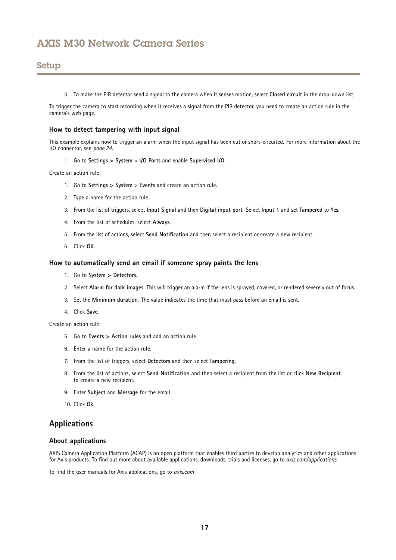## <span id="page-16-0"></span>Setup

3. To make the PIR detector send <sup>a</sup> signal to the camera when it senses motion, select **Closed circuit** in the drop-down list.

To trigger the camera to start recording when it receives <sup>a</sup> signal from the PIR detector, you need to create an action rule in the camera's web page.

#### **How to detect tampering with input signal**

This example explains how to trigger an alarm when the input signal has been cut or short-circuited. For more information about the I/O connector, see *[page](#page-23-0) [24](#page-23-0)*.

1. Go to **Settings <sup>&</sup>gt; System** <sup>&</sup>gt; **I/O Ports** and enable **Supervised I/O**.

Create an action rule:

- 1. Go to **Settings <sup>&</sup>gt; System** <sup>&</sup>gt; **Events** and create an action rule.
- 2. Type <sup>a</sup> name for the action rule.
- 3. From the list of triggers, select **Input Signal** and then **Digital input port**. Select **Input <sup>1</sup>** and set **Tampered** to **Yes**.
- 4. From the list of schedules, select **Always**.
- 5. From the list of actions, select **Send Notification** and then select <sup>a</sup> recipient or create <sup>a</sup> new recipient.
- 6. Click **OK**.

#### **How to automatically send an email if someone spray paints the lens**

- 1. Go to **System <sup>&</sup>gt; Detectors**.
- 2. Select **Alarm for dark images**. This will trigger an alarm if the lens is sprayed, covered, or rendered severely out of focus.
- 3. Set the **Minimum duration**. The value indicates the time that must pass before an email is sent.
- 4. Click **Save**.

Create an action rule:

- 5. Go to **Events <sup>&</sup>gt; Action rules** and add an action rule.
- 6. Enter a name for the action rule.
- 7. From the list of triggers, select **Detectors** and then select **Tampering**.
- 8. From the list of actions, select **Send Notification** and then select <sup>a</sup> recipient from the list or click **New Recipient** to create <sup>a</sup> new recipient.
- 9. Enter **Subject** and **Message** for the email.
- 10. Click **Ok**.

### **Applications**

#### **About applications**

AXIS Camera Application Platform (ACAP) is an open platform that enables third parties to develop analytics and other applications for Axis products. To find out more about available applications, downloads, trials and licenses, go to *axis.com/applications*

To find the user manuals for Axis applications, go to *axis.com*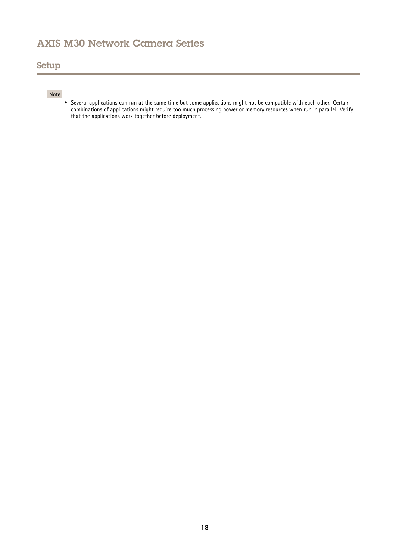## Setup

### Note

• Several applications can run at the same time but some applications might not be compatible with each other. Certain combinations of applications might require too much processing power or memory resources when run in parallel. Verify that the applications work together before deployment.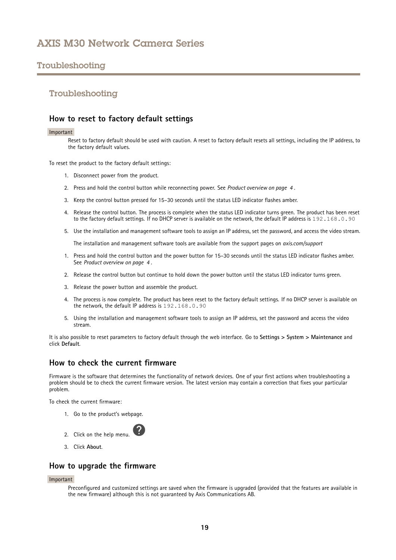## <span id="page-18-0"></span>Troubleshooting

### Troubleshooting

### **How to reset to factory default settings**

#### Important

Reset to factory default should be used with caution. A reset to factory default resets all settings, including the IP address, to the factory default values.

To reset the product to the factory default settings:

- 1. Disconnect power from the product.
- 2. Press and hold the control button while reconnecting power. See *Product [overview](#page-3-0) on page [4](#page-3-0)* .
- 3. Keep the control button pressed for 15–30 seconds until the status LED indicator flashes amber.
- 4. Release the control button. The process is complete when the status LED indicator turns green. The product has been reset to the factory default settings. If no DHCP server is available on the network, the default IP address is 192.168.0.90
- 5. Use the installation and management software tools to assign an IP address, set the password, and access the video stream.

The installation and management software tools are available from the support pages on *axis.com/support*

- 1. Press and hold the control button and the power button for 15–30 seconds until the status LED indicator flashes amber. See *Product [overview](#page-3-0) on page [4](#page-3-0)* .
- 2. Release the control button but continue to hold down the power button until the status LED indicator turns green.
- 3. Release the power button and assemble the product.
- 4. The process is now complete. The product has been reset to the factory default settings. If no DHCP server is available on the network, the default IP address is 192.168.0.90
- 5. Using the installation and management software tools to assign an IP address, set the password and access the video stream.

It is also possible to reset parameters to factory default through the web interface. Go to **Settings <sup>&</sup>gt; System <sup>&</sup>gt; Maintenance** and click **Default**.

### **How to check the current firmware**

Firmware is the software that determines the functionality of network devices. One of your first actions when troubleshooting <sup>a</sup> problem should be to check the current firmware version. The latest version may contain <sup>a</sup> correction that fixes your particular problem.

To check the current firmware:

1. Go to the product's webpage.



3. Click **About**.

### **How to upgrade the firmware**

#### Important

Preconfigured and customized settings are saved when the firmware is upgraded (provided that the features are available in the new firmware) although this is not guaranteed by Axis Communications AB.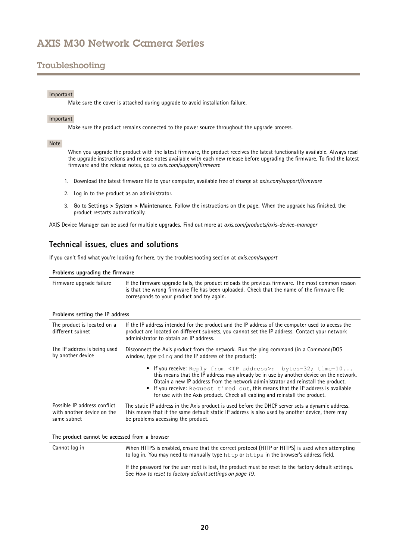## <span id="page-19-0"></span>Troubleshooting

#### Important

Make sure the cover is attached during upgrade to avoid installation failure.

#### Important

Make sure the product remains connected to the power source throughout the upgrade process.

#### Note

When you upgrade the product with the latest firmware, the product receives the latest functionality available. Always read the upgrade instructions and release notes available with each new release before upgrading the firmware. To find the latest firmware and the release notes, go to *axis.com/support/firmware*

- 1. Download the latest firmware file to your computer, available free of charge at *axis.com/support/firmware*
- 2. Log in to the product as an administrator.
- 3. Go to **Settings <sup>&</sup>gt; System <sup>&</sup>gt; Maintenance**. Follow the instructions on the page. When the upgrade has finished, the product restarts automatically.

AXIS Device Manager can be used for multiple upgrades. Find out more at *axis.com/products/axis-device-manager*

### **Technical issues, clues and solutions**

If you can't find what you're looking for here, try the troubleshooting section at *axis.com/support*

#### **Problems upgrading the firmware**

| Firmware upgrade failure | If the firmware upgrade fails, the product reloads the previous firmware. The most common reason<br>is that the wrong firmware file has been uploaded. Check that the name of the firmware file<br>corresponds to your product and try again. |
|--------------------------|-----------------------------------------------------------------------------------------------------------------------------------------------------------------------------------------------------------------------------------------------|
|                          |                                                                                                                                                                                                                                               |

#### **Problems setting the IP address**

| The product is located on a<br>different subnet                           | If the IP address intended for the product and the IP address of the computer used to access the<br>product are located on different subnets, you cannot set the IP address. Contact your network<br>administrator to obtain an IP address.                                                                                                                                                                                |  |
|---------------------------------------------------------------------------|----------------------------------------------------------------------------------------------------------------------------------------------------------------------------------------------------------------------------------------------------------------------------------------------------------------------------------------------------------------------------------------------------------------------------|--|
| The IP address is being used<br>by another device                         | Disconnect the Axis product from the network. Run the ping command (in a Command/DOS<br>window, type ping and the IP address of the product):                                                                                                                                                                                                                                                                              |  |
|                                                                           | • If you receive: Reply from <ip address="">: bytes=32; time=10<br/>this means that the IP address may already be in use by another device on the network.<br/>Obtain a new IP address from the network administrator and reinstall the product.<br/>• If you receive: Request timed out, this means that the IP address is available<br/>for use with the Axis product. Check all cabling and reinstall the product.</ip> |  |
| Possible IP address conflict<br>with another device on the<br>same subnet | The static IP address in the Axis product is used before the DHCP server sets a dynamic address.<br>This means that if the same default static IP address is also used by another device, there may<br>be problems accessing the product.                                                                                                                                                                                  |  |
| The product connect be exceeded from a browner                            |                                                                                                                                                                                                                                                                                                                                                                                                                            |  |

#### **The product cannot be accessed from <sup>a</sup> browser**

Cannot log in When HTTPS is enabled, ensure that the correct protocol (HTTP or HTTPS) is used when attempting to log in. You may need to manually type http or https in the browser's address field. If the password for the user root is lost, the product must be reset to the factory default settings. See *How to reset to factory default [settings](#page-18-0) on page [19](#page-18-0)*.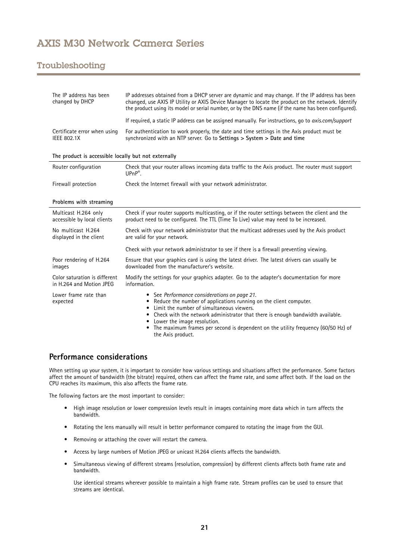## <span id="page-20-0"></span>Troubleshooting

| The IP address has been<br>changed by DHCP                | IP addresses obtained from a DHCP server are dynamic and may change. If the IP address has been<br>changed, use AXIS IP Utility or AXIS Device Manager to locate the product on the network. Identify<br>the product using its model or serial number, or by the DNS name (if the name has been configured).                                                                                                                          |  |
|-----------------------------------------------------------|---------------------------------------------------------------------------------------------------------------------------------------------------------------------------------------------------------------------------------------------------------------------------------------------------------------------------------------------------------------------------------------------------------------------------------------|--|
|                                                           | If required, a static IP address can be assigned manually. For instructions, go to axis.com/support                                                                                                                                                                                                                                                                                                                                   |  |
| Certificate error when using<br><b>IEEE 802.1X</b>        | For authentication to work properly, the date and time settings in the Axis product must be<br>synchronized with an NTP server. Go to Settings > System > Date and time                                                                                                                                                                                                                                                               |  |
| The product is accessible locally but not externally      |                                                                                                                                                                                                                                                                                                                                                                                                                                       |  |
| Router configuration                                      | Check that your router allows incoming data traffic to the Axis product. The router must support<br>$UPnP^*$ .                                                                                                                                                                                                                                                                                                                        |  |
| Firewall protection                                       | Check the Internet firewall with your network administrator.                                                                                                                                                                                                                                                                                                                                                                          |  |
| Problems with streaming                                   |                                                                                                                                                                                                                                                                                                                                                                                                                                       |  |
| Multicast H.264 only<br>accessible by local clients       | Check if your router supports multicasting, or if the router settings between the client and the<br>product need to be configured. The TTL (Time To Live) value may need to be increased.                                                                                                                                                                                                                                             |  |
| No multicast H.264<br>displayed in the client             | Check with your network administrator that the multicast addresses used by the Axis product<br>are valid for your network.                                                                                                                                                                                                                                                                                                            |  |
|                                                           | Check with your network administrator to see if there is a firewall preventing viewing.                                                                                                                                                                                                                                                                                                                                               |  |
| Poor rendering of H.264<br>images                         | Ensure that your graphics card is using the latest driver. The latest drivers can usually be<br>downloaded from the manufacturer's website.                                                                                                                                                                                                                                                                                           |  |
| Color saturation is different<br>in H.264 and Motion JPEG | Modify the settings for your graphics adapter. Go to the adapter's documentation for more<br>information.                                                                                                                                                                                                                                                                                                                             |  |
| Lower frame rate than<br>expected                         | • See Performance considerations on page 21.<br>Reduce the number of applications running on the client computer.<br>٠<br>Limit the number of simultaneous viewers.<br>$\bullet$<br>Check with the network administrator that there is enough bandwidth available.<br>$\bullet$<br>Lower the image resolution.<br>$\bullet$<br>The maximum frames per second is dependent on the utility frequency (60/50 Hz) of<br>the Axis product. |  |

## **Performance considerations**

When setting up your system, it is important to consider how various settings and situations affect the performance. Some factors affect the amount of bandwidth (the bitrate) required, others can affect the frame rate, and some affect both. If the load on the CPU reaches its maximum, this also affects the frame rate.

The following factors are the most important to consider:

- High image resolution or lower compression levels result in images containing more data which in turn affects the bandwidth.
- Rotating the lens manually will result in better performance compared to rotating the image from the GUI.
- •Removing or attaching the cover will restart the camera.
- •Access by large numbers of Motion JPEG or unicast H.264 clients affects the bandwidth.
- • Simultaneous viewing of different streams (resolution, compression) by different clients affects both frame rate and bandwidth.

Use identical streams wherever possible to maintain <sup>a</sup> high frame rate. Stream profiles can be used to ensure that streams are identical.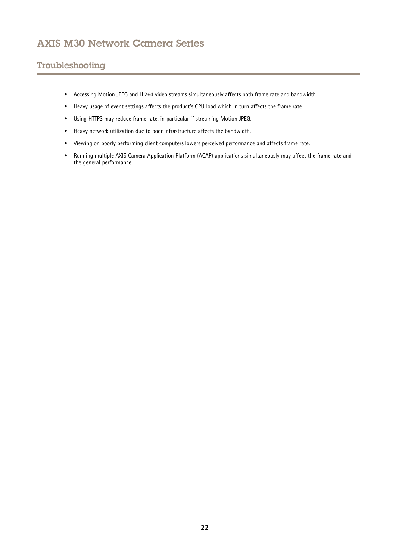## Troubleshooting

- Accessing Motion JPEG and H.264 video streams simultaneously affects both frame rate and bandwidth.
- Heavy usage of event settings affects the product's CPU load which in turn affects the frame rate.
- Using HTTPS may reduce frame rate, in particular if streaming Motion JPEG.
- Heavy network utilization due to poor infrastructure affects the bandwidth.
- Viewing on poorly performing client computers lowers perceived performance and affects frame rate.
- • Running multiple AXIS Camera Application Platform (ACAP) applications simultaneously may affect the frame rate and the general performance.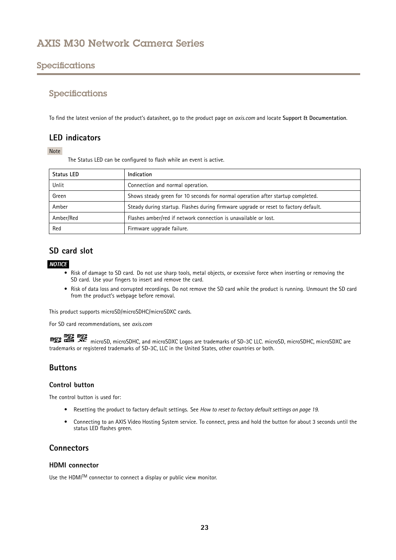## <span id="page-22-0"></span>Specifications

### Specifications

To find the latest version of the product's datasheet, go to the product page on *axis.com* and locate **Support & Documentation**.

### **LED indicators**

#### Note

The Status LED can be configured to flash while an event is active.

| <b>Status LED</b> | Indication                                                                          |
|-------------------|-------------------------------------------------------------------------------------|
| Unlit             | Connection and normal operation.                                                    |
| Green             | Shows steady green for 10 seconds for normal operation after startup completed.     |
| Amber             | Steady during startup. Flashes during firmware upgrade or reset to factory default. |
| Amber/Red         | Flashes amber/red if network connection is unavailable or lost.                     |
| Red               | Firmware upgrade failure.                                                           |

## **SD card slot**

### *NOTICE*

- Risk of damage to SD card. Do not use sharp tools, metal objects, or excessive force when inserting or removing the SD card. Use your fingers to insert and remove the card.
- Risk of data loss and corrupted recordings. Do not remove the SD card while the product is running. Unmount the SD card from the product's webpage before removal.

This product supports microSD/microSDHC/microSDXC cards.

For SD card recommendations, see *axis.com*

microSD, microSDHC, and microSDXC Logos are trademarks of SD-3C LLC. microSD, microSDHC, microSDXC are trademarks or registered trademarks of SD-3C, LLC in the United States, other countries or both.

## **Buttons**

#### **Control button**

The control button is used for:

- Resetting the product to factory default settings. See *How to reset to factory default [settings](#page-18-0) on page [19](#page-18-0)*.
- • Connecting to an AXIS Video Hosting System service. To connect, press and hold the button for about 3 seconds until the status LED flashes green.

## **Connectors**

### **HDMI connector**

Use the <code>HDMITM</code> connector to connect a display or public view monitor.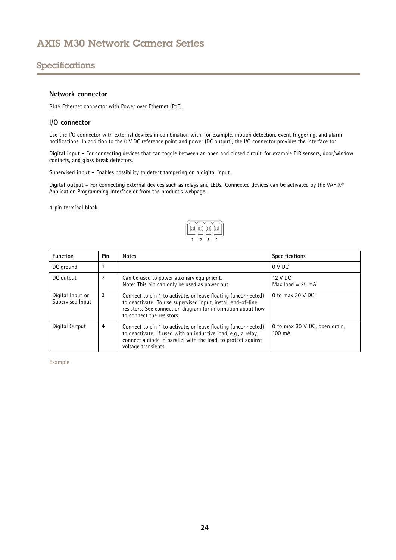## <span id="page-23-0"></span>Specifications

#### **Network connector**

RJ45 Ethernet connector with Power over Ethernet (PoE).

### **I/O connector**

Use the I/O connector with external devices in combination with, for example, motion detection, event triggering, and alarm notifications. In addition to the <sup>0</sup> V DC reference point and power (DC output), the I/O connector provides the interface to:

**Digital input -** For connecting devices that can toggle between an open and closed circuit, for example PIR sensors, door/window contacts, and glass break detectors.

**Supervised input -** Enables possibility to detect tampering on <sup>a</sup> digital input.

**Digital output -** For connecting external devices such as relays and LEDs. Connected devices can be activated by the VAPIX® Application Programming Interface or from the product's webpage.

4-pin terminal block



| <b>Function</b>                      | Pin                                                                                                                                                                                                                         | <b>Notes</b>                                                                                                                                                                                                             | <b>Specifications</b>                   |
|--------------------------------------|-----------------------------------------------------------------------------------------------------------------------------------------------------------------------------------------------------------------------------|--------------------------------------------------------------------------------------------------------------------------------------------------------------------------------------------------------------------------|-----------------------------------------|
| DC ground                            |                                                                                                                                                                                                                             |                                                                                                                                                                                                                          | 0 V DC                                  |
| DC output                            | 2                                                                                                                                                                                                                           | Can be used to power auxiliary equipment.<br>Note: This pin can only be used as power out.                                                                                                                               | 12 V DC<br>Max $load = 25 mA$           |
| Digital Input or<br>Supervised Input | 3                                                                                                                                                                                                                           | Connect to pin 1 to activate, or leave floating (unconnected)<br>to deactivate. To use supervised input, install end-of-line<br>resistors. See connection diagram for information about how<br>to connect the resistors. | 0 to max $30$ V DC                      |
| Digital Output                       | 4<br>Connect to pin 1 to activate, or leave floating (unconnected)<br>to deactivate. If used with an inductive load, e.g., a relay,<br>connect a diode in parallel with the load, to protect against<br>voltage transients. |                                                                                                                                                                                                                          | 0 to max 30 V DC, open drain,<br>100 mA |

**Example**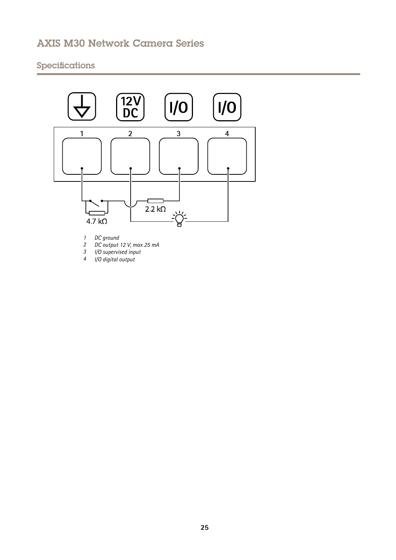## Specifications



*1 DC ground*

*2 DC output 12 V, max 25 mA <sup>3</sup> I/O supervised input*

*<sup>4</sup> I/O digital output*